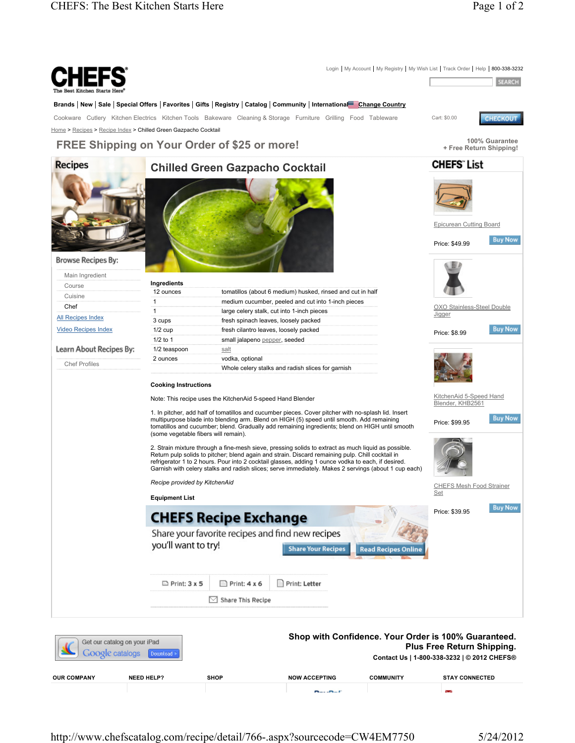

http://www.chefscatalog.com/recipe/detail/766-.aspx?sourcecode=CW4EM7750 5/24/2012